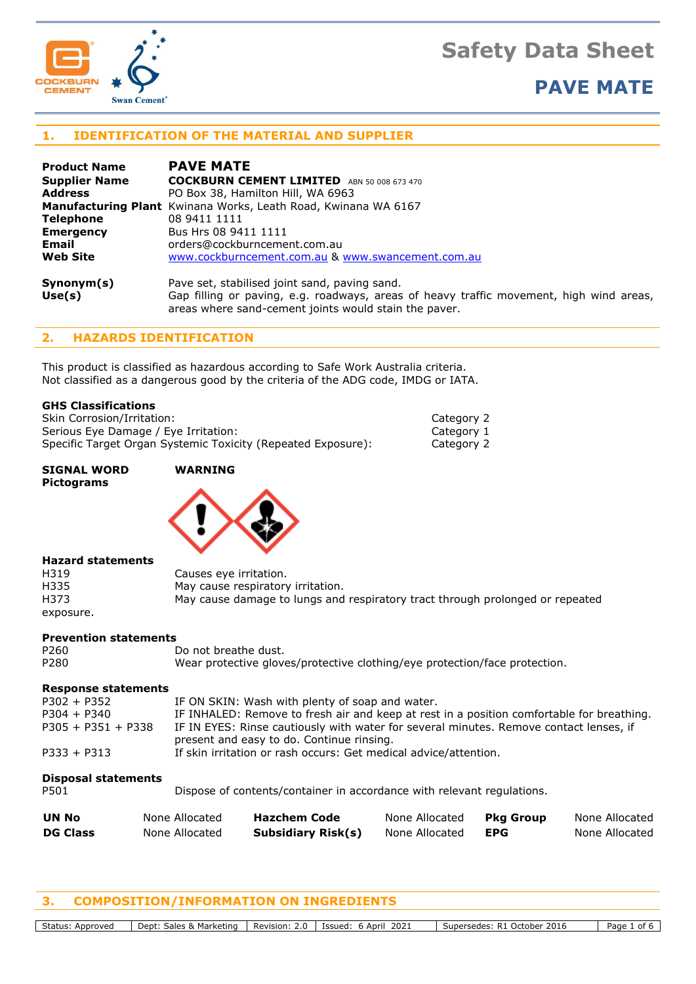



## **PAVE MATE**

### **1. IDENTIFICATION OF THE MATERIAL AND SUPPLIER**

| <b>Product Name</b>  | <b>PAVE MATE</b>                                                                                                                                                                                  |
|----------------------|---------------------------------------------------------------------------------------------------------------------------------------------------------------------------------------------------|
| <b>Supplier Name</b> | COCKBURN CEMENT LIMITED ABN 50 008 673 470                                                                                                                                                        |
| <b>Address</b>       | PO Box 38, Hamilton Hill, WA 6963                                                                                                                                                                 |
|                      | <b>Manufacturing Plant</b> Kwinana Works, Leath Road, Kwinana WA 6167                                                                                                                             |
| <b>Telephone</b>     | 08 9411 1111                                                                                                                                                                                      |
| <b>Emergency</b>     | Bus Hrs 08 9411 1111                                                                                                                                                                              |
| Email                | orders@cockburncement.com.au                                                                                                                                                                      |
| <b>Web Site</b>      | www.cockburncement.com.au & www.swancement.com.au                                                                                                                                                 |
| Symonym(s)<br>Use(s) | Pave set, stabilised joint sand, paving sand.<br>Gap filling or paving, e.g. roadways, areas of heavy traffic movement, high wind areas,<br>areas where sand-cement joints would stain the paver. |

#### **2. HAZARDS IDENTIFICATION**

This product is classified as hazardous according to Safe Work Australia criteria. Not classified as a dangerous good by the criteria of the ADG code, IMDG or IATA.

#### **GHS Classifications**

Skin Corrosion/Irritation: Category 2 Serious Eye Damage / Eye Irritation: Category 1 Specific Target Organ Systemic Toxicity (Repeated Exposure): Category 2

**SIGNAL WORD WARNING Pictograms**



#### **Hazard statements**

| H319      | Causes eye irritation.                                                        |
|-----------|-------------------------------------------------------------------------------|
| H335      | May cause respiratory irritation.                                             |
| H373      | May cause damage to lungs and respiratory tract through prolonged or repeated |
| exposure. |                                                                               |

#### **Prevention statements**

| <b>Response statements</b> |                                                                            |  |  |  |  |
|----------------------------|----------------------------------------------------------------------------|--|--|--|--|
| P <sub>280</sub>           | Wear protective gloves/protective clothing/eye protection/face protection. |  |  |  |  |
| P <sub>260</sub>           | Do not breathe dust.                                                       |  |  |  |  |

| $P302 + P352$        | IF ON SKIN: Wash with plenty of soap and water.                                                                                     |
|----------------------|-------------------------------------------------------------------------------------------------------------------------------------|
| $P304 + P340$        | IF INHALED: Remove to fresh air and keep at rest in a position comfortable for breathing.                                           |
| $P305 + P351 + P338$ | IF IN EYES: Rinse cautiously with water for several minutes. Remove contact lenses, if<br>present and easy to do. Continue rinsing. |
| $P333 + P313$        | If skin irritation or rash occurs: Get medical advice/attention.                                                                    |
|                      |                                                                                                                                     |

#### **Disposal statements**

P501 Dispose of contents/container in accordance with relevant regulations.

| UN No           | None Allocated | <b>Hazchem Code</b>       | None Allocated | Pkg Group  | None Allocated |
|-----------------|----------------|---------------------------|----------------|------------|----------------|
| <b>DG Class</b> | None Allocated | <b>Subsidiary Risk(s)</b> | None Allocated | <b>EPG</b> | None Allocated |

### **3. COMPOSITION/INFORMATION ON INGREDIENTS**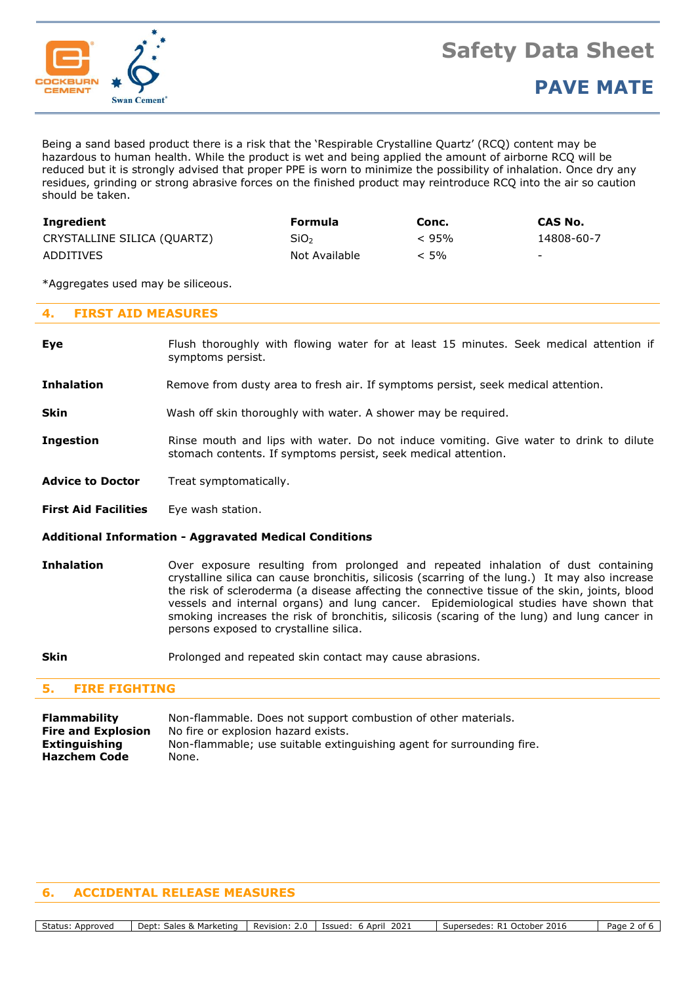

Being a sand based product there is a risk that the 'Respirable Crystalline Quartz' (RCQ) content may be hazardous to human health. While the product is wet and being applied the amount of airborne RCQ will be reduced but it is strongly advised that proper PPE is worn to minimize the possibility of inhalation. Once dry any residues, grinding or strong abrasive forces on the finished product may reintroduce RCQ into the air so caution should be taken.

| Ingredient                  | Formula          | Conc.   | CAS No.                  |
|-----------------------------|------------------|---------|--------------------------|
| CRYSTALLINE SILICA (QUARTZ) | SiO <sub>2</sub> | < 95%   | 14808-60-7               |
| ADDITIVES                   | Not Available    | $< 5\%$ | $\overline{\phantom{0}}$ |

\*Aggregates used may be siliceous.

### **4. FIRST AID MEASURES**

| Eye | Flush thoroughly with flowing water for at least 15 minutes. Seek medical attention if |
|-----|----------------------------------------------------------------------------------------|
|     | symptoms persist.                                                                      |

- **Inhalation** Remove from dusty area to fresh air. If symptoms persist, seek medical attention.
- **Skin** Wash off skin thoroughly with water. A shower may be required.
- **Ingestion** Rinse mouth and lips with water. Do not induce vomiting. Give water to drink to dilute stomach contents. If symptoms persist, seek medical attention.
- **Advice to Doctor** Treat symptomatically.
- **First Aid Facilities** Eye wash station.

#### **Additional Information - Aggravated Medical Conditions**

- **Inhalation** Over exposure resulting from prolonged and repeated inhalation of dust containing crystalline silica can cause bronchitis, silicosis (scarring of the lung.) It may also increase the risk of scleroderma (a disease affecting the connective tissue of the skin, joints, blood vessels and internal organs) and lung cancer. Epidemiological studies have shown that smoking increases the risk of bronchitis, silicosis (scaring of the lung) and lung cancer in persons exposed to crystalline silica.
- **Skin** Prolonged and repeated skin contact may cause abrasions.

#### **5. FIRE FIGHTING**

**Flammability** Non-flammable. Does not support combustion of other materials. **Fire and Explosion** No fire or explosion hazard exists. **Extinguishing** Non-flammable; use suitable extinguishing agent for surrounding fire. **Hazchem Code** None.

#### **6. ACCIDENTAL RELEASE MEASURES**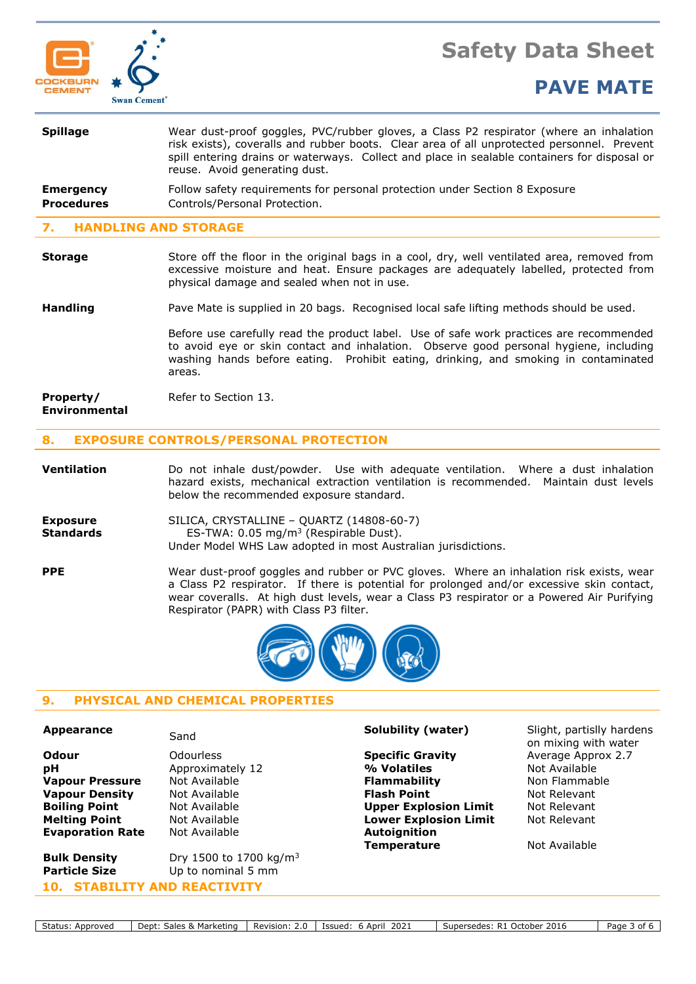

# **Safety Data Sheet**

# **PAVE MATE**

| <b>Spillage</b>                       | Wear dust-proof goggles, PVC/rubber gloves, a Class P2 respirator (where an inhalation<br>risk exists), coveralls and rubber boots. Clear area of all unprotected personnel. Prevent<br>spill entering drains or waterways. Collect and place in sealable containers for disposal or<br>reuse. Avoid generating dust. |  |  |  |
|---------------------------------------|-----------------------------------------------------------------------------------------------------------------------------------------------------------------------------------------------------------------------------------------------------------------------------------------------------------------------|--|--|--|
| <b>Emergency</b><br><b>Procedures</b> | Follow safety requirements for personal protection under Section 8 Exposure<br>Controls/Personal Protection.                                                                                                                                                                                                          |  |  |  |
| 7. HANDLING AND STORAGE               |                                                                                                                                                                                                                                                                                                                       |  |  |  |
|                                       |                                                                                                                                                                                                                                                                                                                       |  |  |  |

#### **Storage** Store off the floor in the original bags in a cool, dry, well ventilated area, removed from excessive moisture and heat. Ensure packages are adequately labelled, protected from physical damage and sealed when not in use.

## **Handling** Pave Mate is supplied in 20 bags. Recognised local safe lifting methods should be used.

Before use carefully read the product label. Use of safe work practices are recommended to avoid eye or skin contact and inhalation. Observe good personal hygiene, including washing hands before eating. Prohibit eating, drinking, and smoking in contaminated areas.

```
Property/ Refer to Section 13.
Environmental
```
## **8. EXPOSURE CONTROLS/PERSONAL PROTECTION**

**Ventilation** Do not inhale dust/powder. Use with adequate ventilation. Where a dust inhalation hazard exists, mechanical extraction ventilation is recommended. Maintain dust levels below the recommended exposure standard.

**Exposure** SILICA, CRYSTALLINE – QUARTZ (14808-60-7) **Standards** ES-TWA: 0.05 mg/m<sup>3</sup> (Respirable Dust). Under Model WHS Law adopted in most Australian jurisdictions.

**PPE** Wear dust-proof goggles and rubber or PVC gloves. Where an inhalation risk exists, wear a Class P2 respirator. If there is potential for prolonged and/or excessive skin contact, wear coveralls. At high dust levels, wear a Class P3 respirator or a Powered Air Purifying Respirator (PAPR) with Class P3 filter.



## **9. PHYSICAL AND CHEMICAL PROPERTIES**

**Evaporation Rate** Not Available **Autoignition** 

**Bulk Density** Dry 1500 to 1700 kg/m<sup>3</sup> **Particle Size** Up to nominal 5 mm **10. STABILITY AND REACTIVITY**

**Odour Specific Gravity Average Approx 2.7 Specific Gravity Average Approx 2.7 pH** Approximately 12 **4 Million Multimedia Approximately 12 Million Multimedia Available Vapour Pressure** Not Available **Flammability** Non Flammable **Non Flammable Vapour Density** Mot Available **Flash Point Flash Point** Not Relevant **Boiling Point** Not Available **Upper Explosion Limit** Not Relevant **Melting Point** Not Available **Lower Explosion Limit** Not Relevant **Temperature** Not Available

**Appearance** Sand Solubility (water) Slight, partislly hardens on mixing with water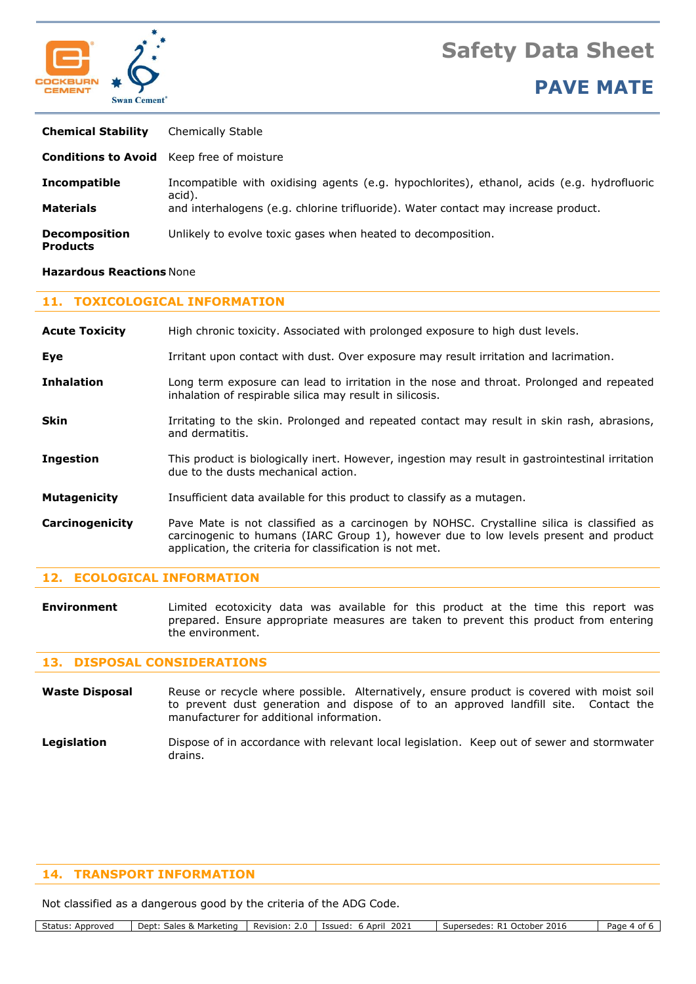



**PAVE MATE**

| <b>Chemical Stability</b>               | Chemically Stable                                                                                    |
|-----------------------------------------|------------------------------------------------------------------------------------------------------|
|                                         | <b>Conditions to Avoid</b> Keep free of moisture                                                     |
| Incompatible                            | Incompatible with oxidising agents (e.g. hypochlorites), ethanol, acids (e.g. hydrofluoric<br>acid). |
| <b>Materials</b>                        | and interhalogens (e.g. chlorine trifluoride). Water contact may increase product.                   |
| <b>Decomposition</b><br><b>Products</b> | Unlikely to evolve toxic gases when heated to decomposition.                                         |

#### **Hazardous Reactions** None

#### **11. TOXICOLOGICAL INFORMATION**

| <b>Acute Toxicity</b> | High chronic toxicity. Associated with prolonged exposure to high dust levels.                                                                                                                                                                |  |  |  |  |
|-----------------------|-----------------------------------------------------------------------------------------------------------------------------------------------------------------------------------------------------------------------------------------------|--|--|--|--|
| Eye                   | Irritant upon contact with dust. Over exposure may result irritation and lacrimation.                                                                                                                                                         |  |  |  |  |
| <b>Inhalation</b>     | Long term exposure can lead to irritation in the nose and throat. Prolonged and repeated<br>inhalation of respirable silica may result in silicosis.                                                                                          |  |  |  |  |
| Skin                  | Irritating to the skin. Prolonged and repeated contact may result in skin rash, abrasions,<br>and dermatitis.                                                                                                                                 |  |  |  |  |
| <b>Ingestion</b>      | This product is biologically inert. However, ingestion may result in gastrointestinal irritation<br>due to the dusts mechanical action.                                                                                                       |  |  |  |  |
| <b>Mutagenicity</b>   | Insufficient data available for this product to classify as a mutagen.                                                                                                                                                                        |  |  |  |  |
| Carcinogenicity       | Pave Mate is not classified as a carcinogen by NOHSC. Crystalline silica is classified as<br>carcinogenic to humans (IARC Group 1), however due to low levels present and product<br>application, the criteria for classification is not met. |  |  |  |  |

#### **12. ECOLOGICAL INFORMATION**

**Environment** Limited ecotoxicity data was available for this product at the time this report was prepared. Ensure appropriate measures are taken to prevent this product from entering the environment.

#### **13. DISPOSAL CONSIDERATIONS**

Waste Disposal Reuse or recycle where possible. Alternatively, ensure product is covered with moist soil to prevent dust generation and dispose of to an approved landfill site. Contact the manufacturer for additional information.

Legislation **Dispose of in accordance with relevant local legislation. Keep out of sewer and stormwater** drains.

### **14. TRANSPORT INFORMATION**

Not classified as a dangerous good by the criteria of the ADG Code.

| Status:<br>Approved | Marketing<br>$\therefore$ sales $\frac{8}{2}$<br>Dept: | Revision:<br>. . U | 202.<br>Issued:<br>April | $\cdot$ 2016<br>- R1<br>October<br>Supersedes: ' | Page<br>$\sim$<br>ו טי |
|---------------------|--------------------------------------------------------|--------------------|--------------------------|--------------------------------------------------|------------------------|
|---------------------|--------------------------------------------------------|--------------------|--------------------------|--------------------------------------------------|------------------------|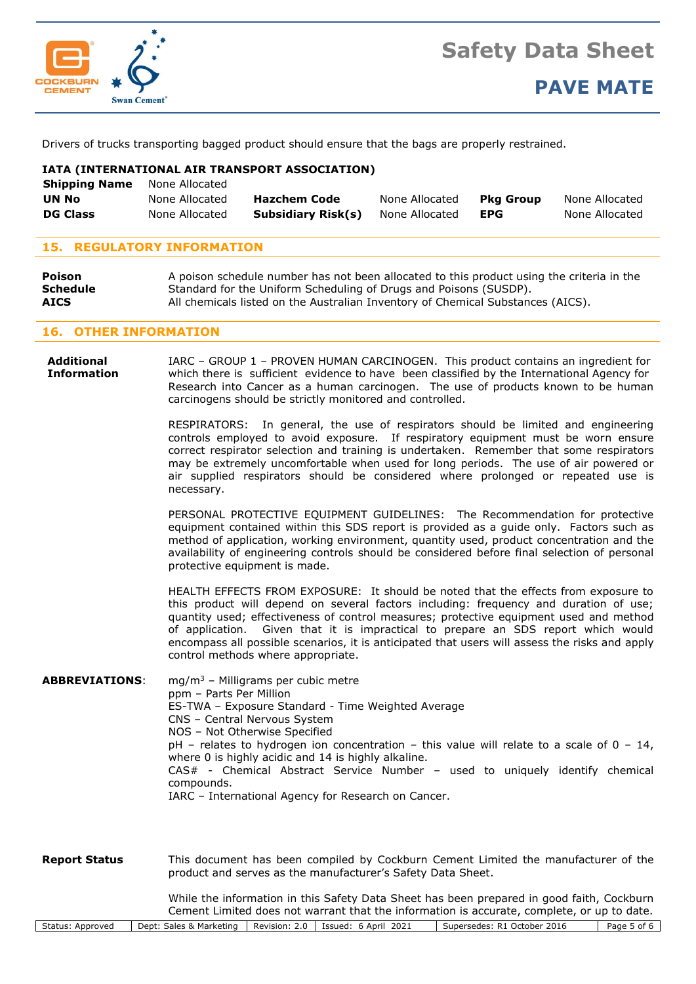

Drivers of trucks transporting bagged product should ensure that the bags are properly restrained.

### **IATA (INTERNATIONAL AIR TRANSPORT ASSOCIATION)**

| <b>Shipping Name</b> | None Allocated |                     |                |                  |                |
|----------------------|----------------|---------------------|----------------|------------------|----------------|
| UN No                | None Allocated | <b>Hazchem Code</b> | None Allocated | <b>Pka Group</b> | None Allocated |
| <b>DG Class</b>      | None Allocated | Subsidiary Risk(s)  | None Allocated | <b>EPG</b>       | None Allocated |

### **15. REGULATORY INFORMATION**

| <b>Poison</b>   | A poison schedule number has not been allocated to this product using the criteria in the |
|-----------------|-------------------------------------------------------------------------------------------|
| <b>Schedule</b> | Standard for the Uniform Scheduling of Drugs and Poisons (SUSDP).                         |
| <b>AICS</b>     | All chemicals listed on the Australian Inventory of Chemical Substances (AICS).           |

#### **16. OTHER INFORMATION**

**Additional** IARC – GROUP 1 – PROVEN HUMAN CARCINOGEN. This product contains an ingredient for **Information** which there is sufficient evidence to have been classified by the International Agency for Research into Cancer as a human carcinogen. The use of products known to be human carcinogens should be strictly monitored and controlled.

> RESPIRATORS: In general, the use of respirators should be limited and engineering controls employed to avoid exposure. If respiratory equipment must be worn ensure correct respirator selection and training is undertaken. Remember that some respirators may be extremely uncomfortable when used for long periods. The use of air powered or air supplied respirators should be considered where prolonged or repeated use is necessary.

> PERSONAL PROTECTIVE EQUIPMENT GUIDELINES: The Recommendation for protective equipment contained within this SDS report is provided as a guide only. Factors such as method of application, working environment, quantity used, product concentration and the availability of engineering controls should be considered before final selection of personal protective equipment is made.

> HEALTH EFFECTS FROM EXPOSURE: It should be noted that the effects from exposure to this product will depend on several factors including: frequency and duration of use; quantity used; effectiveness of control measures; protective equipment used and method of application. Given that it is impractical to prepare an SDS report which would encompass all possible scenarios, it is anticipated that users will assess the risks and apply control methods where appropriate.

**ABBREVIATIONS**: mg/m<sup>3</sup> – Milligrams per cubic metre ppm – Parts Per Million ES-TWA – Exposure Standard - Time Weighted Average CNS – Central Nervous System NOS – Not Otherwise Specified  $pH$  – relates to hydrogen ion concentration – this value will relate to a scale of 0 – 14, where 0 is highly acidic and 14 is highly alkaline. CAS# - Chemical Abstract Service Number – used to uniquely identify chemical compounds. IARC – International Agency for Research on Cancer.

**Report Status** This document has been compiled by Cockburn Cement Limited the manufacturer of the product and serves as the manufacturer's Safety Data Sheet.

> While the information in this Safety Data Sheet has been prepared in good faith, Cockburn Cement Limited does not warrant that the information is accurate, complete, or up to date.